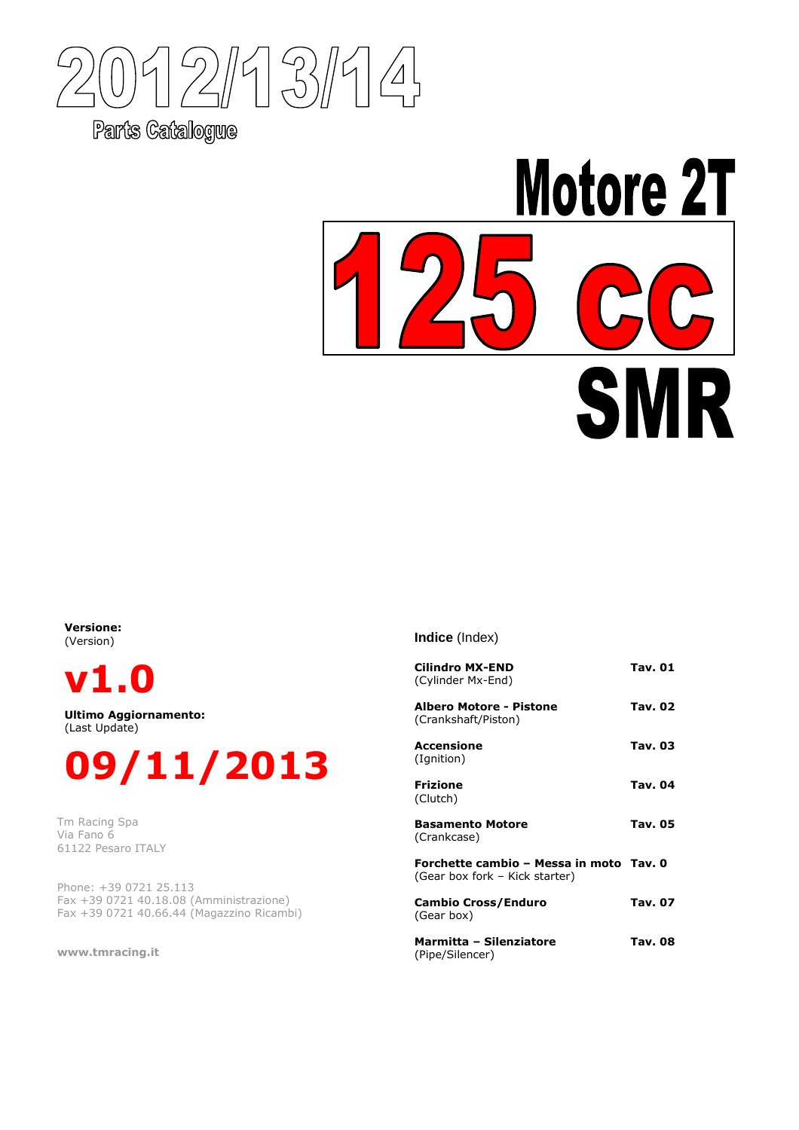$\overline{1}$  $2/17$  $\bigtriangleup$ 

Parts Catalogue

# **Motore 2T** R S

Versione: (Version)

v1.0

Ultimo Aggiornamento: (Last Update)



Tm Racing Spa Via Fano 6 61122 Pesaro ITALY

Phone: +39 0721 25.113 Fax +39 0721 40.18.08 (Amministrazione) Fax +39 0721 40.66.44 (Magazzino Ricambi)

www.tmracing.it

**Indice** (Index)

| <b>Cilindro MX-END</b><br>(Cylinder Mx-End)                               | Tav. 01        |
|---------------------------------------------------------------------------|----------------|
| Albero Motore - Pistone<br>(Crankshaft/Piston)                            | Tav. 02        |
| Accensione<br>(Ignition)                                                  | Tav. 03        |
| <b>Frizione</b><br>(Clutch)                                               | <b>Tav. 04</b> |
| <b>Basamento Motore</b><br>(Crankcase)                                    | <b>Tav. 05</b> |
| Forchette cambio – Messa in moto Tav. 0<br>(Gear box fork – Kick starter) |                |
| <b>Cambio Cross/Enduro</b><br>(Gear box)                                  | Tav. 07        |
| Marmitta - Silenziatore<br>(Pipe/Silencer)                                | Tav. 08        |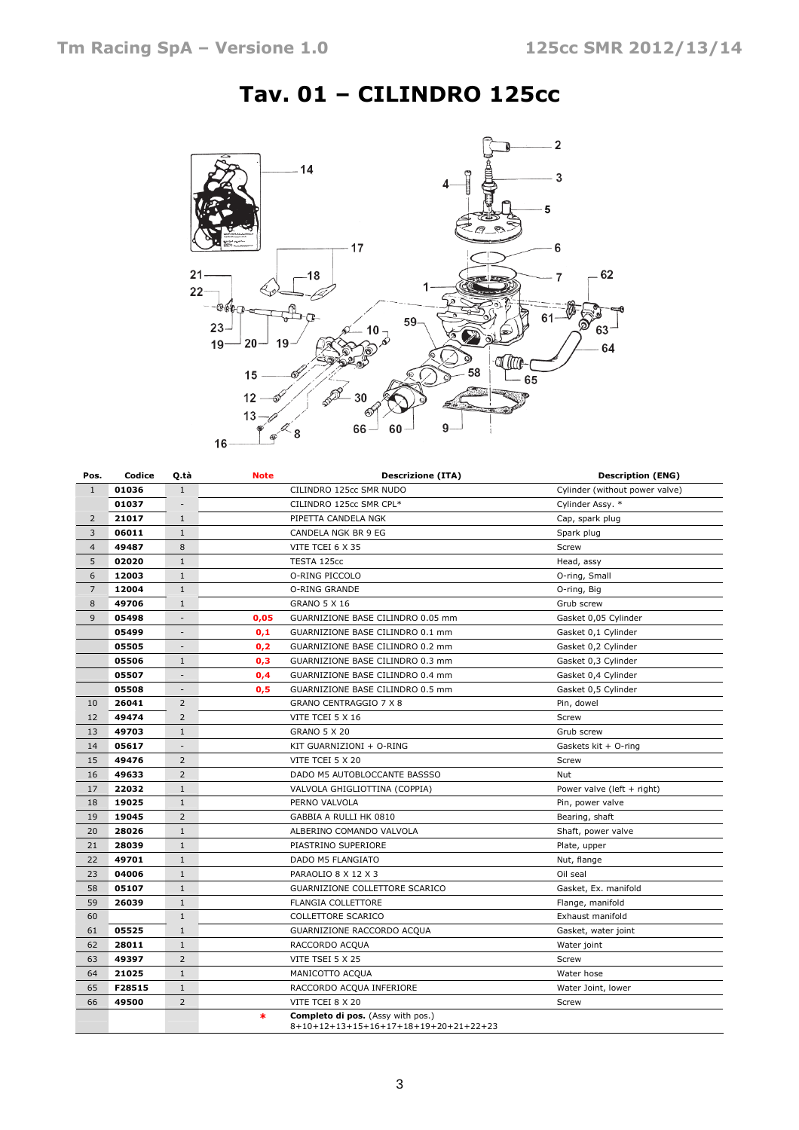

# Tav. 01 – CILINDRO 125cc

| Pos.           | Codice | O tà                     | <b>Note</b><br><b>Descrizione (ITA)</b>                                                     | <b>Description (ENG)</b>       |
|----------------|--------|--------------------------|---------------------------------------------------------------------------------------------|--------------------------------|
| $\mathbf{1}$   | 01036  | $\mathbf{1}$             | CILINDRO 125cc SMR NUDO                                                                     | Cylinder (without power valve) |
|                | 01037  | $\overline{\phantom{a}}$ | CILINDRO 125cc SMR CPL*                                                                     | Cylinder Assy. *               |
| $\overline{2}$ | 21017  | $\mathbf{1}$             | PIPETTA CANDELA NGK                                                                         | Cap, spark plug                |
| 3              | 06011  | $\mathbf{1}$             | CANDELA NGK BR 9 EG                                                                         | Spark plug                     |
| $\overline{4}$ | 49487  | 8                        | VITE TCEI 6 X 35                                                                            | Screw                          |
| 5              | 02020  | $1\,$                    | TESTA 125cc                                                                                 | Head, assy                     |
| 6              | 12003  | $\mathbf{1}$             | O-RING PICCOLO                                                                              | O-ring, Small                  |
| $\overline{7}$ | 12004  | $\mathbf{1}$             | O-RING GRANDE                                                                               | O-ring, Big                    |
| 8              | 49706  | 1                        | <b>GRANO 5 X 16</b>                                                                         | Grub screw                     |
| 9              | 05498  |                          | 0,05<br>GUARNIZIONE BASE CILINDRO 0.05 mm                                                   | Gasket 0,05 Cylinder           |
|                | 05499  | $\overline{\phantom{a}}$ | 0,1<br>GUARNIZIONE BASE CILINDRO 0.1 mm                                                     | Gasket 0,1 Cylinder            |
|                | 05505  | $\overline{\phantom{a}}$ | 0,2<br>GUARNIZIONE BASE CILINDRO 0.2 mm                                                     | Gasket 0,2 Cylinder            |
|                | 05506  | 1                        | 0,3<br>GUARNIZIONE BASE CILINDRO 0.3 mm                                                     | Gasket 0,3 Cylinder            |
|                | 05507  | $\overline{\phantom{a}}$ | 0,4<br>GUARNIZIONE BASE CILINDRO 0.4 mm                                                     | Gasket 0,4 Cylinder            |
|                | 05508  | $\overline{\phantom{a}}$ | 0,5<br>GUARNIZIONE BASE CILINDRO 0.5 mm                                                     | Gasket 0,5 Cylinder            |
| 10             | 26041  | $\overline{2}$           | GRANO CENTRAGGIO 7 X 8                                                                      | Pin, dowel                     |
| 12             | 49474  | $\overline{2}$           | VITE TCEI 5 X 16                                                                            | Screw                          |
| 13             | 49703  | $\mathbf{1}$             | <b>GRANO 5 X 20</b>                                                                         | Grub screw                     |
| 14             | 05617  | $\overline{\phantom{a}}$ | KIT GUARNIZIONI + O-RING                                                                    | Gaskets kit + O-ring           |
| 15             | 49476  | $\overline{2}$           | VITE TCEI 5 X 20                                                                            | Screw                          |
| 16             | 49633  | $\overline{2}$           | DADO M5 AUTOBLOCCANTE BASSSO                                                                | Nut                            |
| 17             | 22032  | $\mathbf{1}$             | VALVOLA GHIGLIOTTINA (COPPIA)                                                               | Power valve (left + right)     |
| 18             | 19025  | $\mathbf{1}$             | PERNO VALVOLA                                                                               | Pin, power valve               |
| 19             | 19045  | $\overline{2}$           | GABBIA A RULLI HK 0810                                                                      | Bearing, shaft                 |
| 20             | 28026  | $\mathbf{1}$             | ALBERINO COMANDO VALVOLA                                                                    | Shaft, power valve             |
| 21             | 28039  | $\mathbf{1}$             | PIASTRINO SUPERIORE                                                                         | Plate, upper                   |
| 22             | 49701  | $\mathbf{1}$             | DADO M5 FLANGIATO                                                                           | Nut, flange                    |
| 23             | 04006  | $\mathbf{1}$             | PARAOLIO 8 X 12 X 3                                                                         | Oil seal                       |
| 58             | 05107  | $1\,$                    | GUARNIZIONE COLLETTORE SCARICO                                                              | Gasket, Ex. manifold           |
| 59             | 26039  | $\mathbf{1}$             | <b>FLANGIA COLLETTORE</b>                                                                   | Flange, manifold               |
| 60             |        | $\mathbf{1}$             | COLLETTORE SCARICO                                                                          | Exhaust manifold               |
| 61             | 05525  | $\mathbf{1}$             | GUARNIZIONE RACCORDO ACQUA                                                                  | Gasket, water joint            |
| 62             | 28011  | $\mathbf{1}$             | RACCORDO ACQUA                                                                              | Water joint                    |
| 63             | 49397  | $\overline{2}$           | VITE TSEI 5 X 25                                                                            | Screw                          |
| 64             | 21025  | $\mathbf{1}$             | MANICOTTO ACQUA                                                                             | Water hose                     |
| 65             | F28515 | $\mathbf{1}$             | RACCORDO ACQUA INFERIORE                                                                    | Water Joint, lower             |
| 66             | 49500  | $\overline{2}$           | VITE TCEI 8 X 20                                                                            | Screw                          |
|                |        |                          | <b>Completo di pos.</b> (Assy with pos.)<br>$\ast$<br>8+10+12+13+15+16+17+18+19+20+21+22+23 |                                |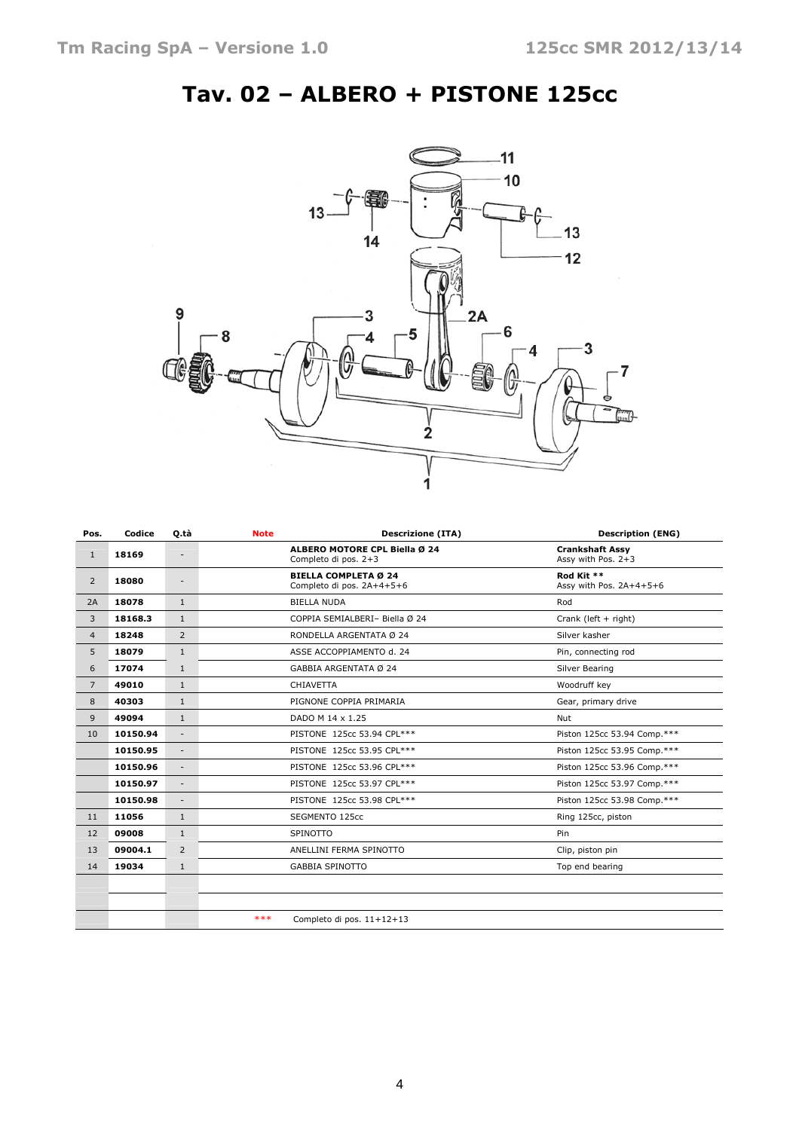# Tav. 02 – ALBERO + PISTONE 125cc



| Pos.           | Codice   | Q.tà                     | Note                       | <b>Descrizione (ITA)</b>                                 | <b>Description (ENG)</b>                     |
|----------------|----------|--------------------------|----------------------------|----------------------------------------------------------|----------------------------------------------|
| $\mathbf{1}$   | 18169    | $\overline{\phantom{a}}$ |                            | ALBERO MOTORE CPL Biella Ø 24<br>Completo di pos. 2+3    | <b>Crankshaft Assy</b><br>Assy with Pos. 2+3 |
| $\overline{2}$ | 18080    | $\overline{\phantom{a}}$ |                            | <b>BIELLA COMPLETA Ø 24</b><br>Completo di pos. 2A+4+5+6 | Rod Kit **<br>Assy with Pos. 2A+4+5+6        |
| 2A             | 18078    | $\mathbf{1}$             |                            | <b>BIELLA NUDA</b>                                       | Rod                                          |
| 3              | 18168.3  | $\mathbf{1}$             |                            | COPPIA SEMIALBERI- Biella Ø 24                           | Crank (left + right)                         |
| $\overline{4}$ | 18248    | $\overline{2}$           |                            | RONDELLA ARGENTATA Ø 24                                  | Silver kasher                                |
| 5              | 18079    | $\mathbf{1}$             |                            | ASSE ACCOPPIAMENTO d. 24                                 | Pin, connecting rod                          |
| 6              | 17074    | $\mathbf{1}$             |                            | GABBIA ARGENTATA Ø 24                                    | Silver Bearing                               |
| $\overline{7}$ | 49010    | $\mathbf{1}$             |                            | <b>CHIAVETTA</b>                                         | Woodruff key                                 |
| 8              | 40303    | $\mathbf{1}$             |                            | PIGNONE COPPIA PRIMARIA                                  | Gear, primary drive                          |
| 9              | 49094    | $\mathbf{1}$             |                            | DADO M 14 x 1.25                                         | <b>Nut</b>                                   |
| 10             | 10150.94 | $\overline{\phantom{a}}$ |                            | PISTONE 125cc 53.94 CPL***                               | Piston 125cc 53.94 Comp.***                  |
|                | 10150.95 | $\overline{\phantom{a}}$ |                            | PISTONE 125cc 53.95 CPL***                               | Piston 125cc 53.95 Comp.***                  |
|                | 10150.96 | $\overline{a}$           |                            | PISTONE 125cc 53.96 CPL***                               | Piston 125cc 53.96 Comp.***                  |
|                | 10150.97 | $\overline{\phantom{a}}$ | PISTONE 125cc 53.97 CPL*** |                                                          | Piston 125cc 53.97 Comp.***                  |
|                | 10150.98 | $\overline{\phantom{a}}$ |                            | PISTONE 125cc 53.98 CPL***                               | Piston 125cc 53.98 Comp.***                  |
| 11             | 11056    | $\mathbf{1}$             |                            | SEGMENTO 125cc                                           | Ring 125cc, piston                           |
| 12             | 09008    | $\mathbf{1}$             |                            | SPINOTTO                                                 | Pin                                          |
| 13             | 09004.1  | $\overline{2}$           |                            | ANELLINI FERMA SPINOTTO                                  | Clip, piston pin                             |
| 14             | 19034    | $\mathbf{1}$             |                            | <b>GABBIA SPINOTTO</b>                                   | Top end bearing                              |
|                |          |                          |                            |                                                          |                                              |
|                |          |                          |                            |                                                          |                                              |
|                |          |                          | ***                        | Completo di pos. 11+12+13                                |                                              |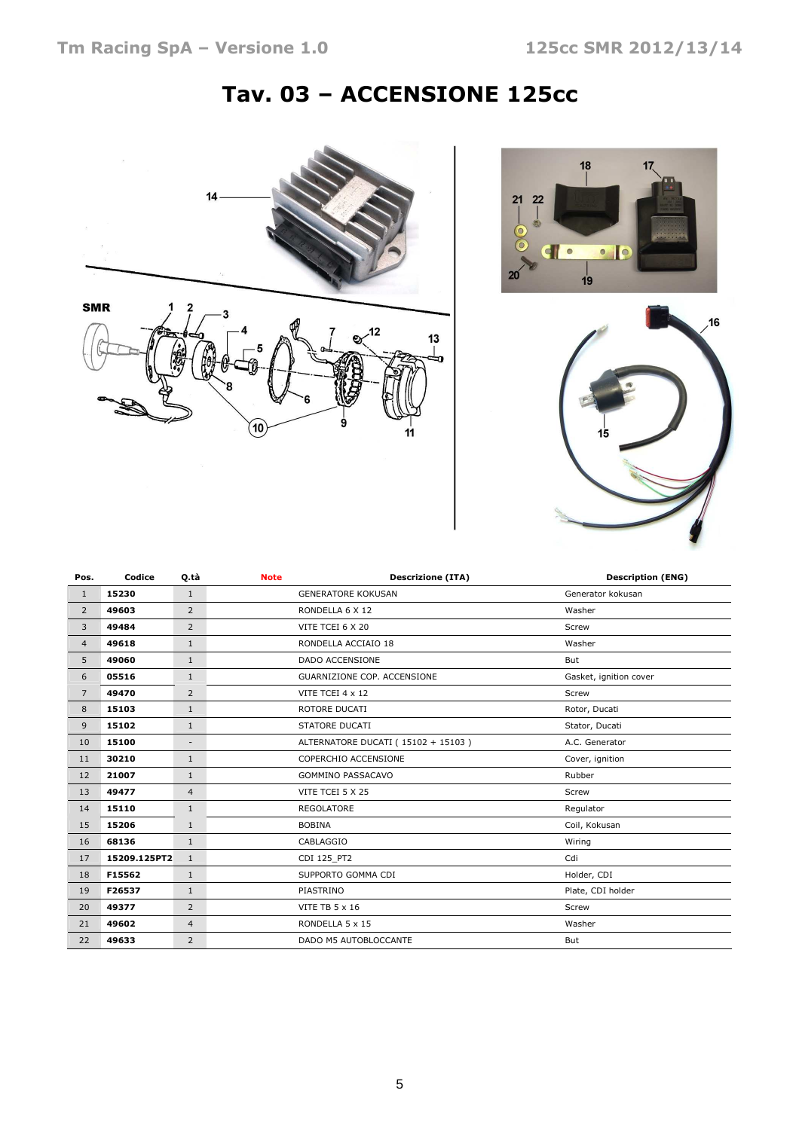# Tav. 03 – ACCENSIONE 125cc







| Pos.           | Codice       | Q.tà                     | <b>Note</b> | <b>Descrizione (ITA)</b>           | <b>Description (ENG)</b> |
|----------------|--------------|--------------------------|-------------|------------------------------------|--------------------------|
| $\mathbf{1}$   | 15230        | $\mathbf{1}$             |             | <b>GENERATORE KOKUSAN</b>          | Generator kokusan        |
| $\overline{2}$ | 49603        | $\overline{2}$           |             | RONDELLA 6 X 12                    | Washer                   |
| 3              | 49484        | $\overline{2}$           |             | VITE TCEI 6 X 20                   | Screw                    |
| $\overline{4}$ | 49618        | $\mathbf{1}$             |             | RONDELLA ACCIAIO 18                | Washer                   |
| 5              | 49060        | $\mathbf{1}$             |             | <b>DADO ACCENSIONE</b>             | But                      |
| 6              | 05516        | $\mathbf{1}$             |             | GUARNIZIONE COP. ACCENSIONE        | Gasket, ignition cover   |
| $\overline{7}$ | 49470        | $\overline{2}$           |             | VITE TCEI 4 x 12                   | Screw                    |
| 8              | 15103        | $\mathbf{1}$             |             | ROTORE DUCATI                      | Rotor, Ducati            |
| 9              | 15102        | $\mathbf{1}$             |             | STATORE DUCATI                     | Stator, Ducati           |
| 10             | 15100        | $\overline{\phantom{a}}$ |             | ALTERNATORE DUCATI (15102 + 15103) | A.C. Generator           |
| 11             | 30210        | $\mathbf{1}$             |             | COPERCHIO ACCENSIONE               | Cover, ignition          |
| 12             | 21007        | $\mathbf{1}$             |             | <b>GOMMINO PASSACAVO</b>           | Rubber                   |
| 13             | 49477        | $\overline{4}$           |             | VITE TCEI 5 X 25                   | Screw                    |
| 14             | 15110        | $\mathbf{1}$             |             | <b>REGOLATORE</b>                  | Regulator                |
| 15             | 15206        | $\mathbf{1}$             |             | <b>BOBINA</b>                      | Coil, Kokusan            |
| 16             | 68136        | $\mathbf{1}$             |             | CABLAGGIO                          | Wiring                   |
| 17             | 15209.125PT2 | $\mathbf{1}$             |             | CDI 125 PT2                        | Cdi                      |
| 18             | F15562       | $\mathbf{1}$             |             | SUPPORTO GOMMA CDI                 | Holder, CDI              |
| 19             | F26537       | $\mathbf{1}$             |             | PIASTRINO                          | Plate, CDI holder        |
| 20             | 49377        | 2                        |             | <b>VITE TB 5 x 16</b>              | Screw                    |
| 21             | 49602        | $\overline{4}$           |             | RONDELLA 5 x 15                    | Washer                   |
| 22             | 49633        | $\overline{2}$           |             | DADO M5 AUTOBLOCCANTE              | But                      |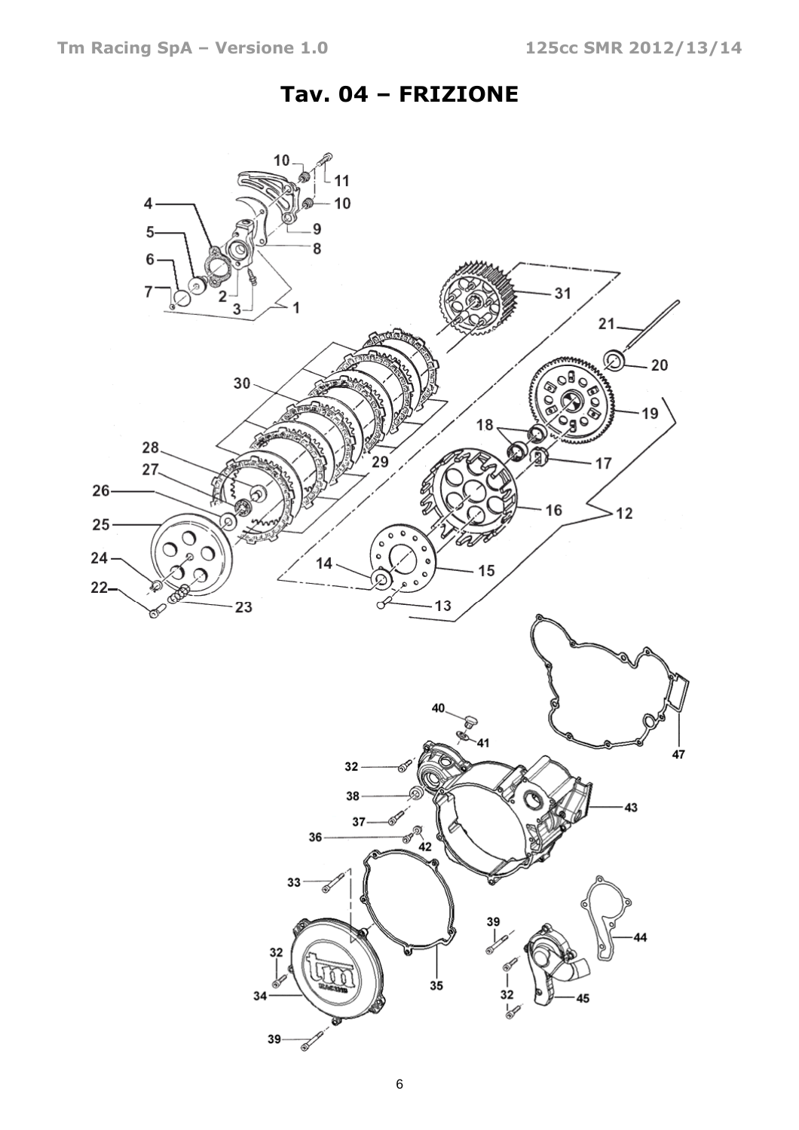#### Tav. 04 – FRIZIONE

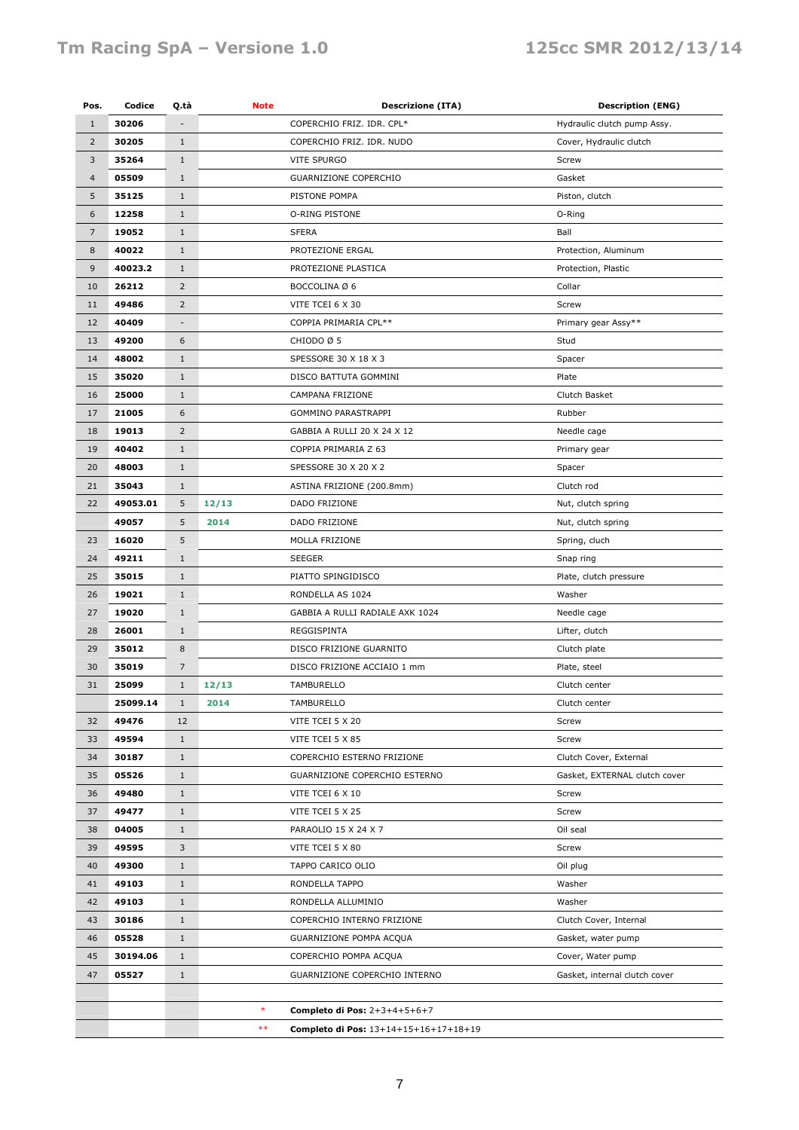#### Tm Racing SpA - Versione 1.0 125cc SMR 2012/13/14

| Pos.           | Codice   | Q.tà           | <b>Note</b>                                          | <b>Descrizione (ITA)</b>              | <b>Description (ENG)</b>      |
|----------------|----------|----------------|------------------------------------------------------|---------------------------------------|-------------------------------|
| $\mathbf{1}$   | 30206    |                |                                                      | COPERCHIO FRIZ. IDR. CPL*             | Hydraulic clutch pump Assy.   |
| $\overline{2}$ | 30205    | $1\,$          |                                                      | COPERCHIO FRIZ. IDR. NUDO             | Cover, Hydraulic clutch       |
| 3              | 35264    | $\mathbf{1}$   |                                                      | VITE SPURGO                           | Screw                         |
| $\overline{4}$ | 05509    | $\mathbf{1}$   |                                                      | GUARNIZIONE COPERCHIO                 | Gasket                        |
| 5              | 35125    | $\mathbf{1}$   |                                                      | PISTONE POMPA                         | Piston, clutch                |
| 6              | 12258    | $\mathbf{1}$   |                                                      | O-RING PISTONE                        | O-Ring                        |
| $\overline{7}$ | 19052    | $1\,$          |                                                      | <b>SFERA</b>                          | Ball                          |
| 8              | 40022    | $\mathbf{1}$   |                                                      | PROTEZIONE ERGAL                      | Protection, Aluminum          |
| 9              | 40023.2  | $\mathbf{1}$   |                                                      | PROTEZIONE PLASTICA                   | Protection, Plastic           |
| 10             | 26212    | $\overline{2}$ |                                                      | BOCCOLINA Ø 6                         | Collar                        |
| 11             | 49486    | $\overline{2}$ |                                                      | VITE TCEI 6 X 30                      | Screw                         |
| 12             | 40409    | $\overline{a}$ |                                                      | COPPIA PRIMARIA CPL**                 | Primary gear Assy**           |
| 13             | 49200    | 6              |                                                      | CHIODO Ø 5                            | Stud                          |
| 14             | 48002    | $1\,$          |                                                      | SPESSORE 30 X 18 X 3                  | Spacer                        |
| 15             | 35020    | $1\,$          |                                                      | DISCO BATTUTA GOMMINI                 | Plate                         |
| 16             | 25000    | $1\,$          |                                                      | CAMPANA FRIZIONE                      | Clutch Basket                 |
| 17             | 21005    | 6              |                                                      | GOMMINO PARASTRAPPI                   | Rubber                        |
| 18             | 19013    | $\overline{2}$ |                                                      | GABBIA A RULLI 20 X 24 X 12           | Needle cage                   |
| 19             | 40402    | $\mathbf{1}$   |                                                      | COPPIA PRIMARIA Z 63                  | Primary gear                  |
| 20             | 48003    | $\mathbf{1}$   |                                                      | SPESSORE 30 X 20 X 2                  | Spacer                        |
| 21             | 35043    | $\mathbf{1}$   |                                                      | ASTINA FRIZIONE (200.8mm)             | Clutch rod                    |
| 22             | 49053.01 | 5              | 12/13                                                | DADO FRIZIONE                         | Nut, clutch spring            |
|                | 49057    | 5              | 2014                                                 | DADO FRIZIONE                         | Nut, clutch spring            |
| 23             | 16020    | 5              |                                                      | MOLLA FRIZIONE                        | Spring, cluch                 |
| 24             | 49211    | $\mathbf{1}$   |                                                      | <b>SEEGER</b>                         | Snap ring                     |
| 25             | 35015    | $\mathbf{1}$   |                                                      | PIATTO SPINGIDISCO                    | Plate, clutch pressure        |
| 26             | 19021    | $\mathbf{1}$   |                                                      | RONDELLA AS 1024                      | Washer                        |
| 27             | 19020    | $\mathbf{1}$   |                                                      | GABBIA A RULLI RADIALE AXK 1024       | Needle cage                   |
| 28             | 26001    | $\mathbf{1}$   |                                                      | REGGISPINTA                           | Lifter, clutch                |
| 29             | 35012    | 8              |                                                      | DISCO FRIZIONE GUARNITO               | Clutch plate                  |
| 30             | 35019    | $\overline{7}$ |                                                      | DISCO FRIZIONE ACCIAIO 1 mm           | Plate, steel                  |
| 31             | 25099    | $\mathbf{1}$   | 12/13                                                | TAMBURELLO                            | Clutch center                 |
|                | 25099.14 | 1              | 2014                                                 | TAMBURELLO                            | Clutch center                 |
| 32             | 49476    | 12             |                                                      | VITE TCEI 5 X 20                      | Screw                         |
| 33             | 49594    | $\mathbf{1}$   |                                                      | VITE TCEI 5 X 85                      | Screw                         |
| 34             | 30187    | $\mathbf{1}$   |                                                      | COPERCHIO ESTERNO FRIZIONE            | Clutch Cover, External        |
| 35             | 05526    | $\mathbf{1}$   |                                                      | GUARNIZIONE COPERCHIO ESTERNO         | Gasket, EXTERNAL clutch cover |
| 36             | 49480    | $\mathbf{1}$   |                                                      | VITE TCEI 6 X 10                      | Screw                         |
| 37             | 49477    | $\mathbf{1}$   |                                                      | VITE TCEI 5 X 25                      | Screw                         |
| 38             | 04005    | $\mathbf{1}$   |                                                      | PARAOLIO 15 X 24 X 7                  | Oil seal                      |
| 39             | 49595    | 3              |                                                      | VITE TCEI 5 X 80                      | Screw                         |
| 40             | 49300    | $\mathbf{1}$   |                                                      | TAPPO CARICO OLIO                     | Oil plug                      |
| 41             | 49103    | $\mathbf{1}$   |                                                      | RONDELLA TAPPO                        | Washer                        |
| 42             | 49103    | $\mathbf{1}$   |                                                      | RONDELLA ALLUMINIO                    | Washer                        |
| 43             | 30186    | $\mathbf{1}$   | COPERCHIO INTERNO FRIZIONE<br>Clutch Cover, Internal |                                       |                               |
| 46             | 05528    | $\mathbf{1}$   |                                                      | GUARNIZIONE POMPA ACQUA               | Gasket, water pump            |
| 45             | 30194.06 | $\mathbf{1}$   |                                                      | COPERCHIO POMPA ACQUA                 | Cover, Water pump             |
| 47             | 05527    | $\mathbf{1}$   |                                                      | GUARNIZIONE COPERCHIO INTERNO         | Gasket, internal clutch cover |
|                |          |                |                                                      |                                       |                               |
|                |          |                | $\ast$                                               | Completo di Pos: 2+3+4+5+6+7          |                               |
|                |          |                | $***$                                                | Completo di Pos: 13+14+15+16+17+18+19 |                               |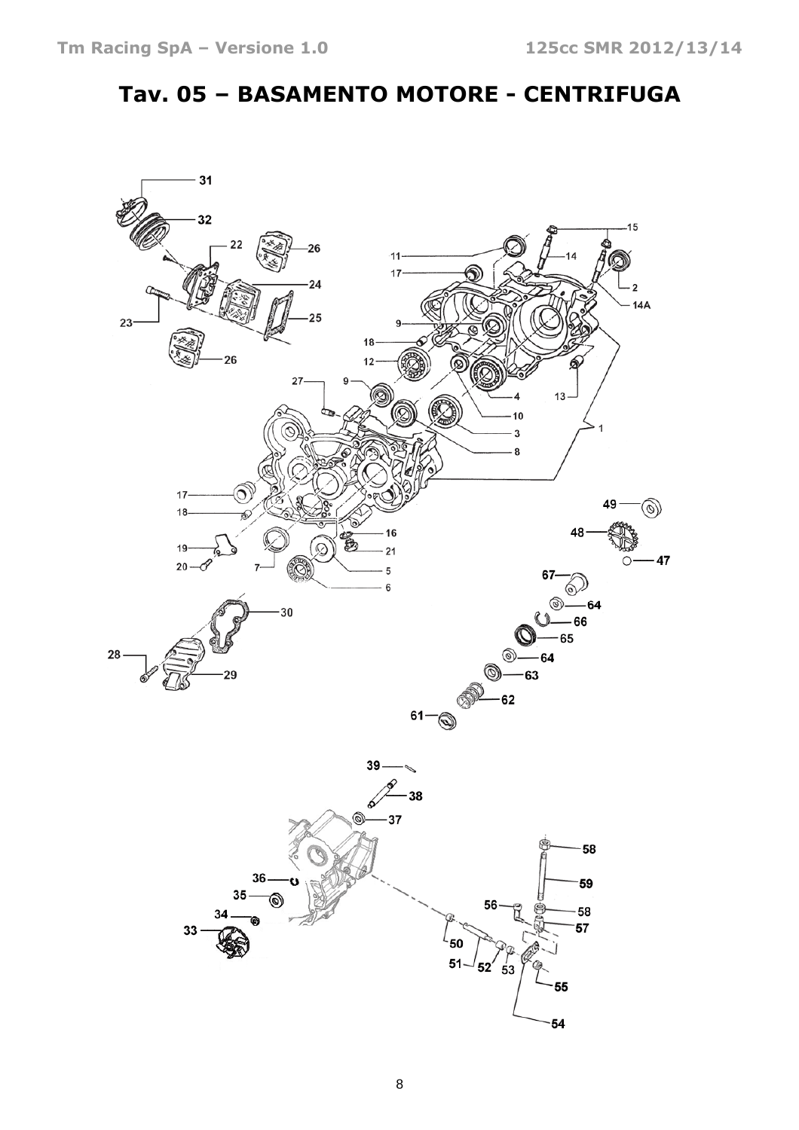## Tav. 05 – BASAMENTO MOTORE - CENTRIFUGA

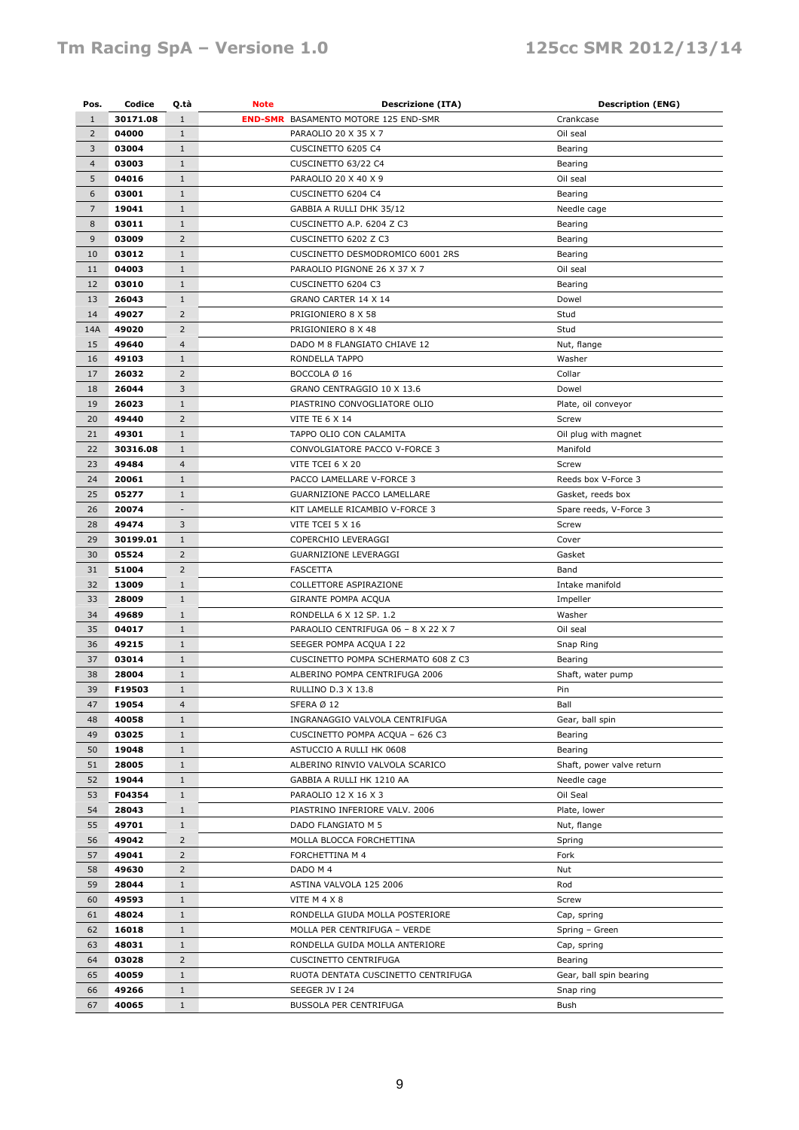| Pos.           | Codice            | Q.tà                     | <b>Note</b>                     | <b>Descrizione (ITA)</b>                                 | <b>Description (ENG)</b>  |
|----------------|-------------------|--------------------------|---------------------------------|----------------------------------------------------------|---------------------------|
| $\mathbf{1}$   | 30171.08          | $\mathbf{1}$             |                                 | <b>END-SMR</b> BASAMENTO MOTORE 125 END-SMR              | Crankcase                 |
| $\overline{2}$ | 04000             | $1\,$                    |                                 | PARAOLIO 20 X 35 X 7                                     | Oil seal                  |
| 3              | 03004             | $1\,$                    |                                 | CUSCINETTO 6205 C4                                       | Bearing                   |
| $\overline{4}$ | 03003             | $\mathbf{1}$             |                                 | CUSCINETTO 63/22 C4                                      | Bearing                   |
| 5              | 04016             | $1\,$                    |                                 | PARAOLIO 20 X 40 X 9                                     | Oil seal                  |
| 6              | 03001             | $1\,$                    |                                 | CUSCINETTO 6204 C4                                       | Bearing                   |
| $\overline{7}$ | 19041             | $1\,$                    |                                 | GABBIA A RULLI DHK 35/12                                 | Needle cage               |
| 8              | 03011             | $1\,$                    |                                 | CUSCINETTO A.P. 6204 Z C3                                | Bearing                   |
| 9              | 03009             | $\overline{2}$           |                                 | CUSCINETTO 6202 Z C3                                     | Bearing                   |
| 10             | 03012             | $1\,$                    |                                 | CUSCINETTO DESMODROMICO 6001 2RS                         | Bearing                   |
| 11             | 04003             | $\mathbf{1}$             |                                 | PARAOLIO PIGNONE 26 X 37 X 7                             | Oil seal                  |
| 12             | 03010             | $1\,$                    |                                 | CUSCINETTO 6204 C3                                       | Bearing                   |
| 13             | 26043             | $\mathbf{1}$             |                                 | GRANO CARTER 14 X 14                                     | Dowel                     |
| 14             | 49027             | $\overline{2}$           |                                 | PRIGIONIERO 8 X 58                                       | Stud                      |
| 14A            | 49020             | $\overline{2}$           |                                 | PRIGIONIERO 8 X 48                                       | Stud                      |
| 15             | 49640             | $\overline{4}$           |                                 | DADO M 8 FLANGIATO CHIAVE 12                             | Nut, flange               |
| 16             | 49103             | $\mathbf{1}$             |                                 | RONDELLA TAPPO                                           | Washer                    |
| 17             | 26032             | $\overline{2}$           |                                 | BOCCOLA Ø 16                                             | Collar                    |
| 18             | 26044             | 3                        |                                 | GRANO CENTRAGGIO 10 X 13.6                               | Dowel                     |
| 19             | 26023             | $1\,$                    |                                 | PIASTRINO CONVOGLIATORE OLIO                             | Plate, oil conveyor       |
| 20             | 49440             | $\overline{2}$           |                                 | VITE TE 6 X 14                                           | Screw                     |
|                |                   |                          |                                 |                                                          |                           |
| 21             | 49301<br>30316.08 | $1\,$                    |                                 | TAPPO OLIO CON CALAMITA<br>CONVOLGIATORE PACCO V-FORCE 3 | Oil plug with magnet      |
| 22             |                   | $1\,$                    |                                 |                                                          | Manifold                  |
| 23             | 49484             | 4                        |                                 | VITE TCEI 6 X 20                                         | Screw                     |
| 24             | 20061             | $\mathbf{1}$             |                                 | PACCO LAMELLARE V-FORCE 3                                | Reeds box V-Force 3       |
| 25             | 05277             | $\mathbf{1}$             |                                 | GUARNIZIONE PACCO LAMELLARE                              | Gasket, reeds box         |
| 26             | 20074             | $\overline{\phantom{a}}$ |                                 | KIT LAMELLE RICAMBIO V-FORCE 3                           | Spare reeds, V-Force 3    |
| 28             | 49474             | 3                        |                                 | VITE TCEI 5 X 16                                         | Screw                     |
| 29             | 30199.01          | $1\,$                    |                                 | COPERCHIO LEVERAGGI                                      | Cover                     |
| 30             | 05524             | $\overline{2}$           |                                 | <b>GUARNIZIONE LEVERAGGI</b>                             | Gasket                    |
| 31             | 51004             | $\overline{2}$           |                                 | <b>FASCETTA</b>                                          | Band                      |
| 32             | 13009             | $\mathbf{1}$             |                                 | COLLETTORE ASPIRAZIONE                                   | Intake manifold           |
| 33             | 28009             | $1\,$                    |                                 | <b>GIRANTE POMPA ACQUA</b>                               | Impeller                  |
| 34             | 49689             | $1\,$                    |                                 | RONDELLA 6 X 12 SP. 1.2                                  | Washer                    |
| 35             | 04017             | $1\,$                    |                                 | PARAOLIO CENTRIFUGA 06 - 8 X 22 X 7                      | Oil seal                  |
| 36             | 49215             | $1\,$                    |                                 | SEEGER POMPA ACQUA I 22                                  | Snap Ring                 |
| 37             | 03014             | $\mathbf{1}$             |                                 | CUSCINETTO POMPA SCHERMATO 608 Z C3                      | Bearing                   |
| 38             | 28004             | $1\,$                    |                                 | ALBERINO POMPA CENTRIFUGA 2006                           | Shaft, water pump         |
| 39             | F19503            | $\mathbf{1}$             |                                 | RULLINO D.3 X 13.8                                       | Pin                       |
| 47             | 19054             | 4                        |                                 | SFERA Ø 12                                               | Ball                      |
| 48             | 40058             | $\mathbf{1}$             |                                 | INGRANAGGIO VALVOLA CENTRIFUGA                           | Gear, ball spin           |
| 49             | 03025             | $\mathbf{1}$             |                                 | CUSCINETTO POMPA ACQUA - 626 C3                          | Bearing                   |
| 50             | 19048             | $1\,$                    |                                 | ASTUCCIO A RULLI HK 0608                                 | Bearing                   |
| 51             | 28005             | $1\,$                    |                                 | ALBERINO RINVIO VALVOLA SCARICO                          | Shaft, power valve return |
| 52             | 19044             | 1                        |                                 | GABBIA A RULLI HK 1210 AA                                | Needle cage               |
| 53             | F04354            | $\mathbf 1$              |                                 | PARAOLIO 12 X 16 X 3                                     | Oil Seal                  |
| 54             | 28043             | $1\,$                    |                                 | PIASTRINO INFERIORE VALV. 2006                           | Plate, lower              |
| 55             | 49701             | $\mathbf{1}$             |                                 | DADO FLANGIATO M 5                                       | Nut, flange               |
| 56             | 49042             | $\overline{2}$           |                                 | MOLLA BLOCCA FORCHETTINA                                 | Spring                    |
| 57             | 49041             | $\overline{2}$           |                                 | FORCHETTINA M 4                                          | Fork                      |
| 58             | 49630             | $\overline{2}$           |                                 | DADO M 4                                                 | Nut                       |
| 59             | 28044             | $1\,$                    |                                 | ASTINA VALVOLA 125 2006                                  | Rod                       |
| 60             | 49593             | $1\,$                    |                                 | VITE M 4 X 8                                             | Screw                     |
| 61             | 48024             | $\mathbf{1}$             | RONDELLA GIUDA MOLLA POSTERIORE |                                                          | Cap, spring               |
| 62             | 16018             | $\mathbf{1}$             |                                 | MOLLA PER CENTRIFUGA - VERDE                             | Spring - Green            |
| 63             | 48031             | $\mathbf{1}$             |                                 | RONDELLA GUIDA MOLLA ANTERIORE                           | Cap, spring               |
| 64             | 03028             | $\overline{2}$           |                                 | <b>CUSCINETTO CENTRIFUGA</b>                             | Bearing                   |
| 65             | 40059             | $1\,$                    |                                 | RUOTA DENTATA CUSCINETTO CENTRIFUGA                      | Gear, ball spin bearing   |
| 66             | 49266             | $1\,$                    |                                 | SEEGER JV I 24                                           | Snap ring                 |
| 67             | 40065             | $\mathbf{1}$             |                                 | BUSSOLA PER CENTRIFUGA                                   | Bush                      |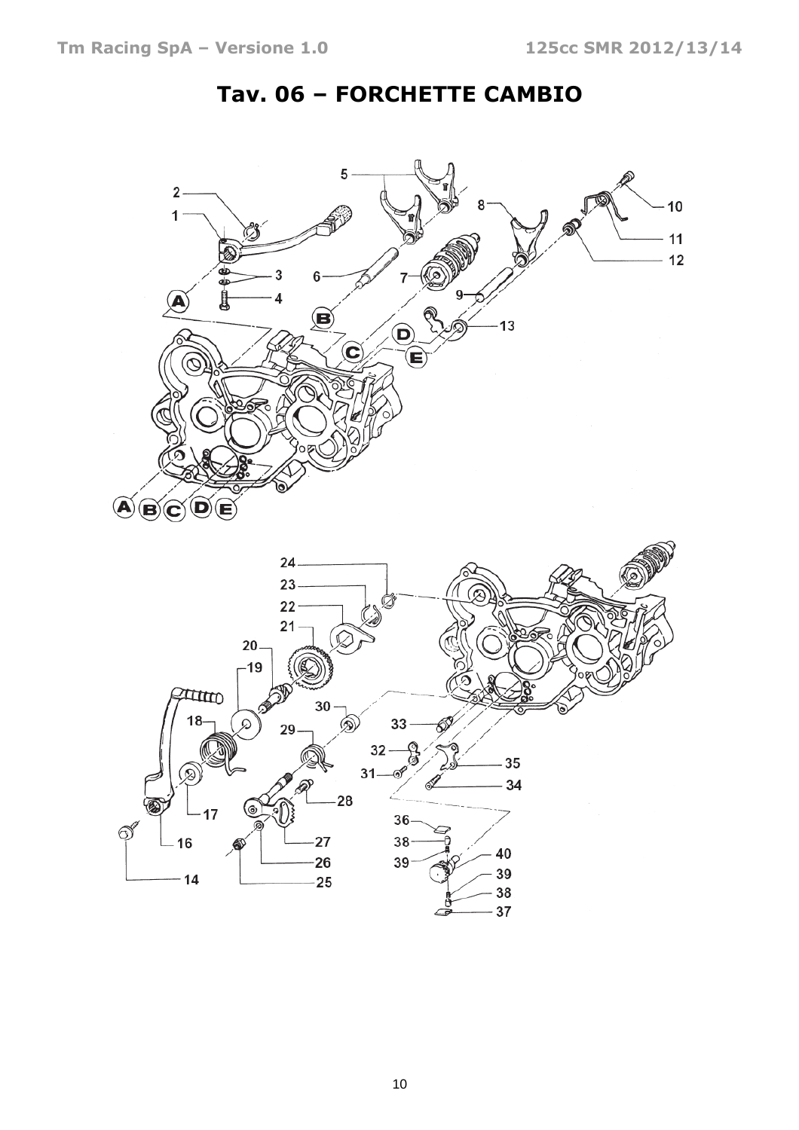

### Tav. 06 – FORCHETTE CAMBIO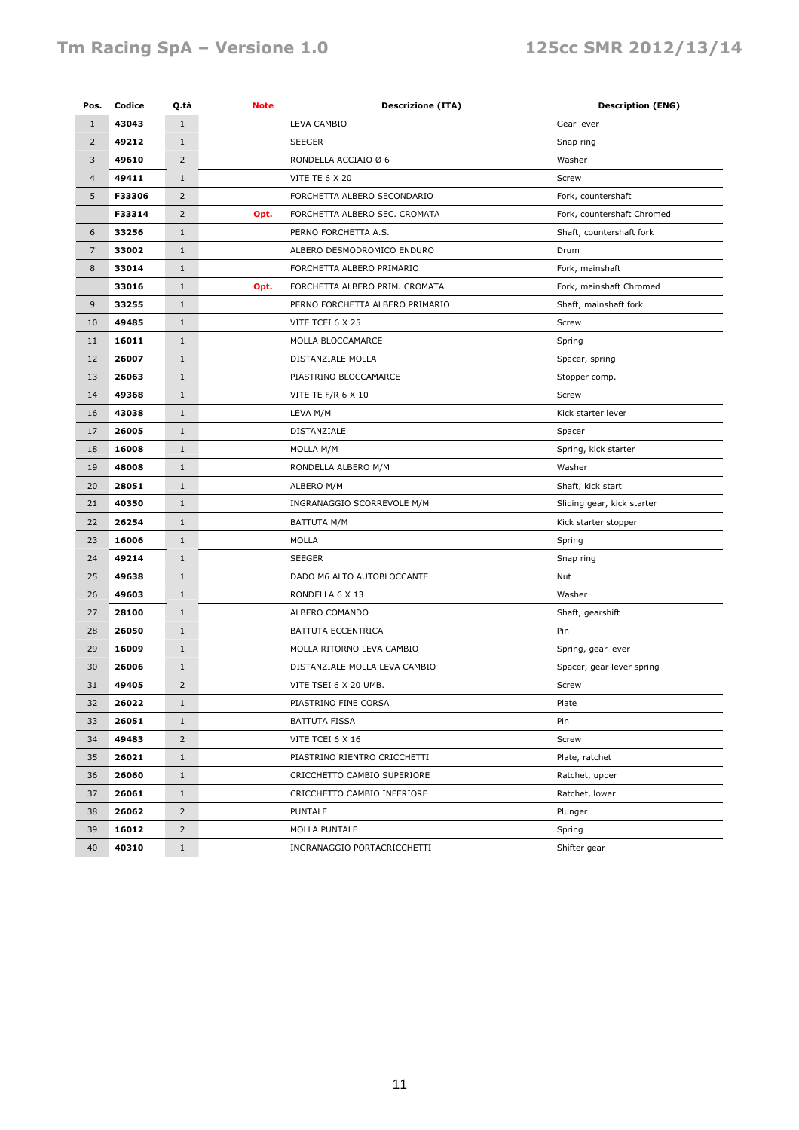#### Tm Racing SpA - Versione 1.0 125cc SMR 2012/13/14

| Pos.           | Codice | Q.tà           | <b>Note</b>                 | <b>Descrizione (ITA)</b>        | <b>Description (ENG)</b>   |
|----------------|--------|----------------|-----------------------------|---------------------------------|----------------------------|
| $\mathbf{1}$   | 43043  | $\mathbf{1}$   | <b>LEVA CAMBIO</b>          |                                 | Gear lever                 |
| $\overline{2}$ | 49212  | $\mathbf{1}$   |                             | <b>SEEGER</b><br>Snap ring      |                            |
| 3              | 49610  | $\overline{2}$ |                             | RONDELLA ACCIAIO Ø 6            | Washer                     |
| $\overline{4}$ | 49411  | $\mathbf{1}$   |                             | <b>VITE TE 6 X 20</b>           | Screw                      |
| 5              | F33306 | $\overline{2}$ |                             | FORCHETTA ALBERO SECONDARIO     | Fork, countershaft         |
|                | F33314 | $\overline{2}$ | Opt.                        | FORCHETTA ALBERO SEC. CROMATA   | Fork, countershaft Chromed |
| 6              | 33256  | $\mathbf{1}$   |                             | PERNO FORCHETTA A.S.            | Shaft, countershaft fork   |
| $\overline{7}$ | 33002  | $\mathbf{1}$   |                             | ALBERO DESMODROMICO ENDURO      | Drum                       |
| 8              | 33014  | $\mathbf{1}$   |                             | FORCHETTA ALBERO PRIMARIO       | Fork, mainshaft            |
|                | 33016  | $\mathbf{1}$   | Opt.                        | FORCHETTA ALBERO PRIM. CROMATA  | Fork, mainshaft Chromed    |
| 9              | 33255  | $\mathbf{1}$   |                             | PERNO FORCHETTA ALBERO PRIMARIO | Shaft, mainshaft fork      |
| 10             | 49485  | $\mathbf{1}$   |                             | VITE TCEI 6 X 25                | Screw                      |
| 11             | 16011  | $\mathbf{1}$   |                             | MOLLA BLOCCAMARCE               | Spring                     |
| 12             | 26007  | $\mathbf{1}$   |                             | DISTANZIALE MOLLA               | Spacer, spring             |
| 13             | 26063  | $\mathbf{1}$   |                             | PIASTRINO BLOCCAMARCE           | Stopper comp.              |
| 14             | 49368  | $\mathbf{1}$   |                             | VITE TE F/R 6 X 10              | Screw                      |
| 16             | 43038  | $\mathbf{1}$   |                             | LEVA M/M                        | Kick starter lever         |
| 17             | 26005  | $\mathbf{1}$   |                             | DISTANZIALE                     | Spacer                     |
| 18             | 16008  | $\mathbf{1}$   |                             | MOLLA M/M                       | Spring, kick starter       |
| 19             | 48008  | $\mathbf{1}$   |                             | RONDELLA ALBERO M/M             | Washer                     |
| 20             | 28051  | $\mathbf{1}$   |                             | ALBERO M/M                      | Shaft, kick start          |
| 21             | 40350  | $\mathbf{1}$   |                             | INGRANAGGIO SCORREVOLE M/M      | Sliding gear, kick starter |
| 22             | 26254  | $\mathbf{1}$   |                             | <b>BATTUTA M/M</b>              | Kick starter stopper       |
| 23             | 16006  | $\mathbf{1}$   |                             | MOLLA                           | Spring                     |
| 24             | 49214  | $\mathbf{1}$   |                             | <b>SEEGER</b>                   | Snap ring                  |
| 25             | 49638  | $\mathbf{1}$   |                             | DADO M6 ALTO AUTOBLOCCANTE      | Nut                        |
| 26             | 49603  | $\mathbf{1}$   |                             | RONDELLA 6 X 13                 | Washer                     |
| 27             | 28100  | $\mathbf{1}$   |                             | ALBERO COMANDO                  | Shaft, gearshift           |
| 28             | 26050  | $\mathbf{1}$   |                             | BATTUTA ECCENTRICA              | Pin                        |
| 29             | 16009  | $\mathbf{1}$   |                             | MOLLA RITORNO LEVA CAMBIO       | Spring, gear lever         |
| 30             | 26006  | $\mathbf{1}$   |                             | DISTANZIALE MOLLA LEVA CAMBIO   | Spacer, gear lever spring  |
| 31             | 49405  | $\overline{2}$ |                             | VITE TSEI 6 X 20 UMB.           | Screw                      |
| 32             | 26022  | $\mathbf{1}$   |                             | PIASTRINO FINE CORSA            | Plate                      |
| 33             | 26051  | $\mathbf{1}$   |                             | <b>BATTUTA FISSA</b>            | Pin                        |
| 34             | 49483  | $\overline{2}$ |                             | VITE TCEI 6 X 16                | Screw                      |
| 35             | 26021  | $\mathbf{1}$   |                             | PIASTRINO RIENTRO CRICCHETTI    | Plate, ratchet             |
| 36             | 26060  | $\mathbf{1}$   |                             | CRICCHETTO CAMBIO SUPERIORE     | Ratchet, upper             |
| 37             | 26061  | $\mathbf{1}$   |                             | CRICCHETTO CAMBIO INFERIORE     | Ratchet, lower             |
| 38             | 26062  | $\overline{2}$ |                             | PUNTALE                         | Plunger                    |
| 39             | 16012  | $\overline{2}$ |                             | MOLLA PUNTALE                   | Spring                     |
| 40             | 40310  | $\mathbf{1}$   | INGRANAGGIO PORTACRICCHETTI |                                 | Shifter gear               |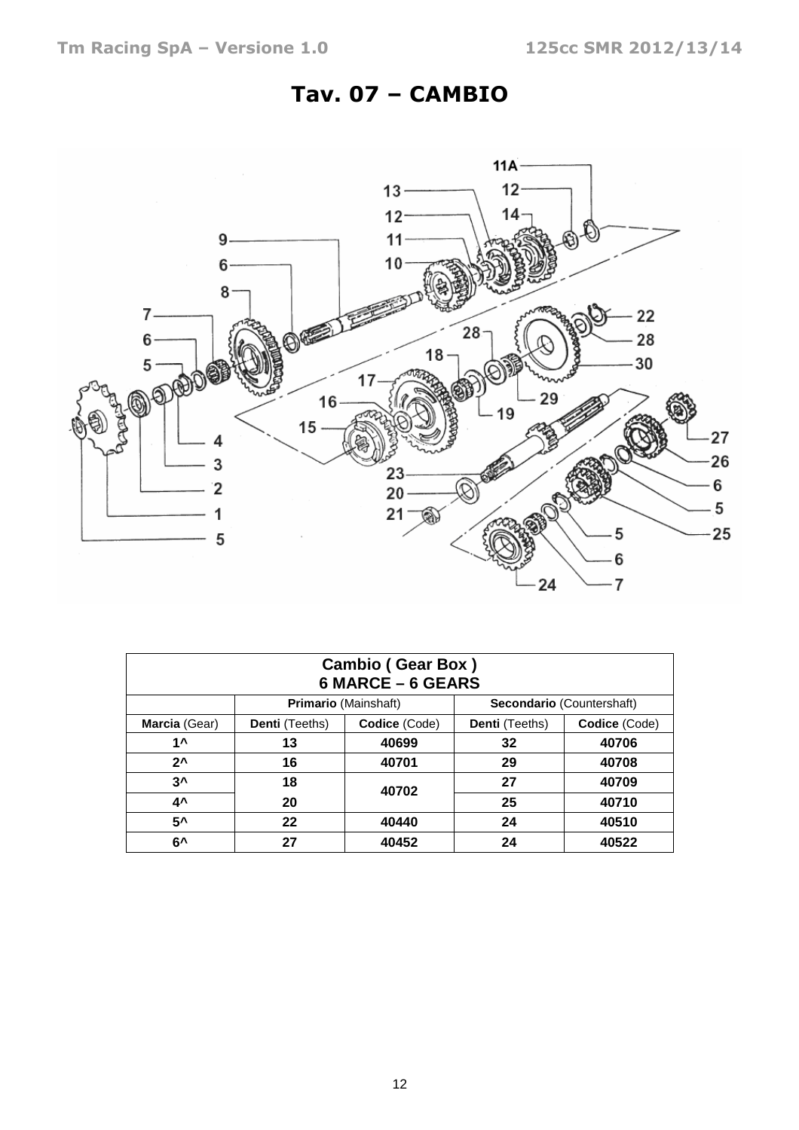### Tav. 07 – CAMBIO



| <b>Cambio (Gear Box)</b><br>6 MARCE - 6 GEARS |                       |                             |                       |                           |  |  |
|-----------------------------------------------|-----------------------|-----------------------------|-----------------------|---------------------------|--|--|
|                                               |                       | <b>Primario</b> (Mainshaft) |                       | Secondario (Countershaft) |  |  |
| Marcia (Gear)                                 | <b>Denti</b> (Teeths) | Codice (Code)               | <b>Denti</b> (Teeths) | Codice (Code)             |  |  |
| $1^{\mathsf{A}}$                              | 13                    | 40699                       | 32                    | 40706                     |  |  |
| $2^{\lambda}$                                 | 16                    | 40701                       | 29                    | 40708                     |  |  |
| 3^                                            | 18                    | 40702                       | 27                    | 40709                     |  |  |
| 4^                                            | 20                    |                             | 25                    | 40710                     |  |  |
| 5^                                            | 22                    | 40440                       | 24                    | 40510                     |  |  |
| 6^                                            | 27                    | 40452                       | 24                    | 40522                     |  |  |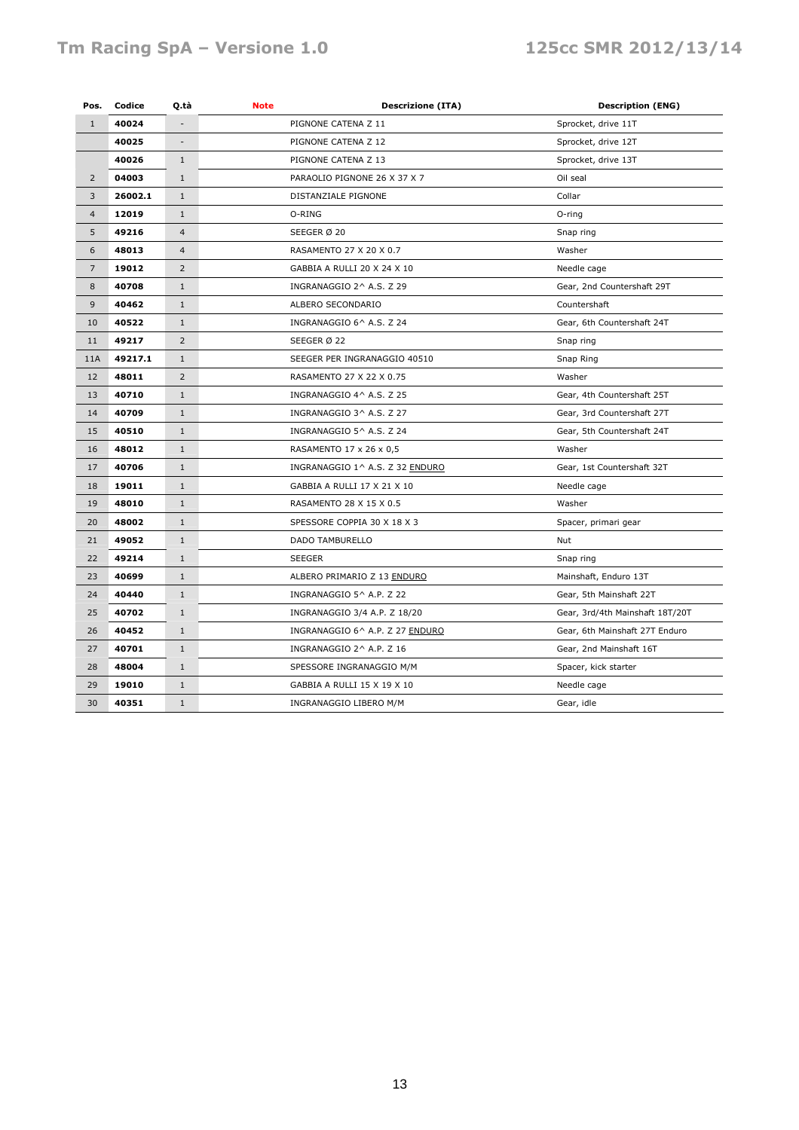#### Tm Racing SpA - Versione 1.0 125cc SMR 2012/13/14

| Pos.           | Codice  | Q.tà                                | Note<br><b>Descrizione (ITA)</b> | <b>Description (ENG)</b>        |
|----------------|---------|-------------------------------------|----------------------------------|---------------------------------|
| $\mathbf{1}$   | 40024   |                                     | PIGNONE CATENA Z 11              | Sprocket, drive 11T             |
|                | 40025   |                                     | PIGNONE CATENA Z 12              | Sprocket, drive 12T             |
|                | 40026   | $\mathbf{1}$<br>PIGNONE CATENA Z 13 |                                  | Sprocket, drive 13T             |
| $\overline{2}$ | 04003   | $\mathbf{1}$                        | PARAOLIO PIGNONE 26 X 37 X 7     | Oil seal                        |
| 3              | 26002.1 | $\mathbf{1}$                        | DISTANZIALE PIGNONE              | Collar                          |
| $\overline{4}$ | 12019   | $\mathbf{1}$                        | O-RING                           | O-ring                          |
| 5              | 49216   | $\overline{4}$                      | SEEGER Ø 20                      | Snap ring                       |
| 6              | 48013   | $\overline{4}$                      | RASAMENTO 27 X 20 X 0.7          | Washer                          |
| $\overline{7}$ | 19012   | $\overline{2}$                      | GABBIA A RULLI 20 X 24 X 10      | Needle cage                     |
| 8              | 40708   | $1\,$                               | INGRANAGGIO 2^ A.S. Z 29         | Gear, 2nd Countershaft 29T      |
| 9              | 40462   | $1\,$                               | ALBERO SECONDARIO                | Countershaft                    |
| 10             | 40522   | $\mathbf{1}$                        | INGRANAGGIO 6^ A.S. Z 24         | Gear, 6th Countershaft 24T      |
| 11             | 49217   | $\overline{2}$                      | SEEGER Ø 22                      | Snap ring                       |
| 11A            | 49217.1 | $\mathbf{1}$                        | SEEGER PER INGRANAGGIO 40510     | Snap Ring                       |
| 12             | 48011   | $\overline{2}$                      | RASAMENTO 27 X 22 X 0.75         | Washer                          |
| 13             | 40710   | $\mathbf{1}$                        | INGRANAGGIO 4^ A.S. Z 25         | Gear, 4th Countershaft 25T      |
| 14             | 40709   | $1\,$                               | INGRANAGGIO 3^ A.S. Z 27         | Gear, 3rd Countershaft 27T      |
| 15             | 40510   | $\mathbf{1}$                        | INGRANAGGIO 5^ A.S. Z 24         | Gear, 5th Countershaft 24T      |
| 16             | 48012   | $\mathbf{1}$                        | RASAMENTO 17 x 26 x 0,5          | Washer                          |
| 17             | 40706   | $\mathbf{1}$                        | INGRANAGGIO 1^ A.S. Z 32 ENDURO  | Gear, 1st Countershaft 32T      |
| 18             | 19011   | $\mathbf{1}$                        | GABBIA A RULLI 17 X 21 X 10      | Needle cage                     |
| 19             | 48010   | $\mathbf{1}$                        | RASAMENTO 28 X 15 X 0.5          | Washer                          |
| 20             | 48002   | $\mathbf{1}$                        | SPESSORE COPPIA 30 X 18 X 3      | Spacer, primari gear            |
| 21             | 49052   | $\mathbf{1}$                        | DADO TAMBURELLO                  | Nut                             |
| 22             | 49214   | $\mathbf{1}$                        | <b>SEEGER</b>                    | Snap ring                       |
| 23             | 40699   | $\mathbf{1}$                        | ALBERO PRIMARIO Z 13 ENDURO      | Mainshaft, Enduro 13T           |
| 24             | 40440   | $\mathbf{1}$                        | INGRANAGGIO 5^ A.P. Z 22         | Gear, 5th Mainshaft 22T         |
| 25             | 40702   | $\mathbf{1}$                        | INGRANAGGIO 3/4 A.P. Z 18/20     | Gear, 3rd/4th Mainshaft 18T/20T |
| 26             | 40452   | $\mathbf{1}$                        | INGRANAGGIO 6^ A.P. Z 27 ENDURO  | Gear, 6th Mainshaft 27T Enduro  |
| 27             | 40701   | $\mathbf{1}$                        | INGRANAGGIO 2^ A.P. Z 16         | Gear, 2nd Mainshaft 16T         |
| 28             | 48004   | $1\,$                               | SPESSORE INGRANAGGIO M/M         | Spacer, kick starter            |
| 29             | 19010   | $\mathbf{1}$                        | GABBIA A RULLI 15 X 19 X 10      | Needle cage                     |
| 30             | 40351   | $\mathbf{1}$                        | INGRANAGGIO LIBERO M/M           | Gear, idle                      |